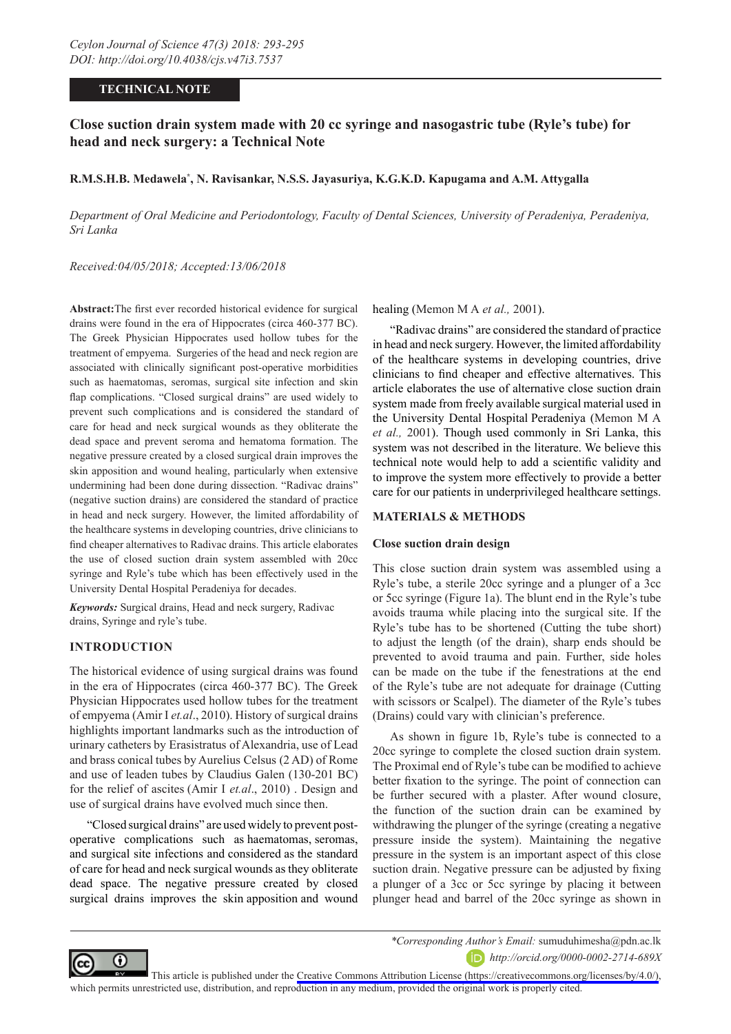# **TECHNICAL NOTE**

# **Close suction drain system made with 20 cc syringe and nasogastric tube (Ryle's tube) for head and neck surgery: a Technical Note**

## **R.M.S.H.B. Medawela\* , N. Ravisankar, N.S.S. Jayasuriya, K.G.K.D. Kapugama and A.M. Attygalla**

*Department of Oral Medicine and Periodontology, Faculty of Dental Sciences, University of Peradeniya, Peradeniya, Sri Lanka*

*Received:04/05/2018; Accepted:13/06/2018*

**Abstract:**The first ever recorded historical evidence for surgical drains were found in the era of Hippocrates (circa 460-377 BC). The Greek Physician Hippocrates used hollow tubes for the treatment of empyema. Surgeries of the head and neck region are associated with clinically significant post-operative morbidities such as haematomas, seromas, surgical site infection and skin flap complications. "Closed surgical drains" are used widely to prevent such complications and is considered the standard of care for head and neck surgical wounds as they obliterate the dead space and prevent seroma and hematoma formation. The negative pressure created by a closed surgical drain improves the skin apposition and wound healing, particularly when extensive undermining had been done during dissection. "Radivac drains" (negative suction drains) are considered the standard of practice in head and neck surgery. However, the limited affordability of the healthcare systems in developing countries, drive clinicians to find cheaper alternatives to Radivac drains. This article elaborates the use of closed suction drain system assembled with 20cc syringe and Ryle's tube which has been effectively used in the University Dental Hospital Peradeniya for decades.

*Keywords:* Surgical drains, Head and neck surgery, Radivac drains, Syringe and ryle's tube.

## **INTRODUCTION**

The historical evidence of using surgical drains was found in the era of Hippocrates (circa 460-377 BC). The Greek Physician Hippocrates used hollow tubes for the treatment of empyema (Amir I *et.al*., 2010). History of surgical drains highlights important landmarks such as the introduction of urinary catheters by Erasistratus of Alexandria, use of Lead and brass conical tubes by Aurelius Celsus (2 AD) of Rome and use of leaden tubes by Claudius Galen (130-201 BC) for the relief of ascites (Amir I *et.al*., 2010) . Design and use of surgical drains have evolved much since then.

"Closed surgical drains" are used widely to prevent postoperative complications such as haematomas, seromas, and surgical site infections and considered as the standard of care for head and neck surgical wounds as they obliterate dead space. The negative pressure created by closed surgical drains improves the skin apposition and wound

healing (Memon M A *et al.,* 2001).

"Radivac drains" are considered the standard of practice in head and neck surgery. However, the limited affordability of the healthcare systems in developing countries, drive clinicians to find cheaper and effective alternatives. This article elaborates the use of alternative close suction drain system made from freely available surgical material used in the University Dental Hospital Peradeniya (Memon M A *et al.,* 2001). Though used commonly in Sri Lanka, this system was not described in the literature. We believe this technical note would help to add a scientific validity and to improve the system more effectively to provide a better care for our patients in underprivileged healthcare settings.

#### **MATERIALS & METHODS**

## **Close suction drain design**

This close suction drain system was assembled using a Ryle's tube, a sterile 20cc syringe and a plunger of a 3cc or 5cc syringe (Figure 1a). The blunt end in the Ryle's tube avoids trauma while placing into the surgical site. If the Ryle's tube has to be shortened (Cutting the tube short) to adjust the length (of the drain), sharp ends should be prevented to avoid trauma and pain. Further, side holes can be made on the tube if the fenestrations at the end of the Ryle's tube are not adequate for drainage (Cutting with scissors or Scalpel). The diameter of the Ryle's tubes (Drains) could vary with clinician's preference.

As shown in figure 1b, Ryle's tube is connected to a 20cc syringe to complete the closed suction drain system. The Proximal end of Ryle's tube can be modified to achieve better fixation to the syringe. The point of connection can be further secured with a plaster. After wound closure, the function of the suction drain can be examined by withdrawing the plunger of the syringe (creating a negative pressure inside the system). Maintaining the negative pressure in the system is an important aspect of this close suction drain. Negative pressure can be adjusted by fixing a plunger of a 3cc or 5cc syringe by placing it between plunger head and barrel of the 20cc syringe as shown in



*\*Corresponding Author's Email:* sumuduhimesha@pdn.ac.lk

*http://orcid.org/0000-0002-2714-689X*

This article is published under the [Creative Commons Attribution License \(https://creativecommons.org/licenses/by/4.0/\)](https://creativecommons.org/licenses/by/4.0/), which permits unrestricted use, distribution, and reproduction in any medium, provided the original work is properly cited.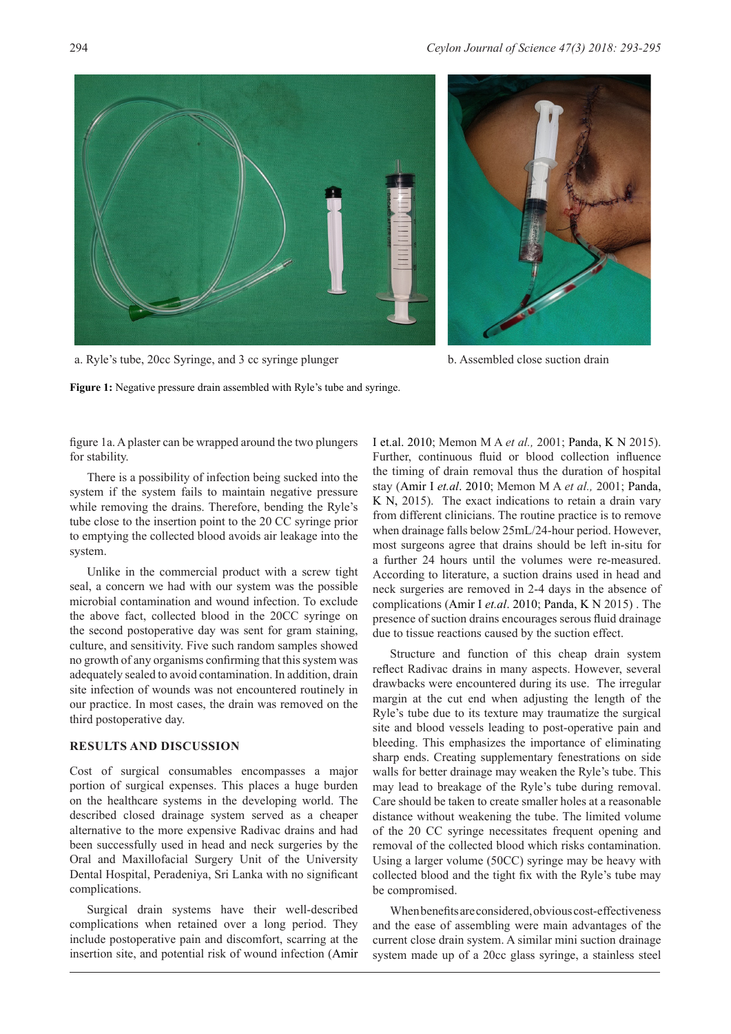

a. Ryle's tube, 20cc Syringe, and 3 cc syringe plunger b. Assembled close suction drain

**Figure 1:** Negative pressure drain assembled with Ryle's tube and syringe.

figure 1a. A plaster can be wrapped around the two plungers for stability.

There is a possibility of infection being sucked into the system if the system fails to maintain negative pressure while removing the drains. Therefore, bending the Ryle's tube close to the insertion point to the 20 CC syringe prior to emptying the collected blood avoids air leakage into the system.

Unlike in the commercial product with a screw tight seal, a concern we had with our system was the possible microbial contamination and wound infection. To exclude the above fact, collected blood in the 20CC syringe on the second postoperative day was sent for gram staining, culture, and sensitivity. Five such random samples showed no growth of any organisms confirming that this system was adequately sealed to avoid contamination. In addition, drain site infection of wounds was not encountered routinely in our practice. In most cases, the drain was removed on the third postoperative day.

## **RESULTS AND DISCUSSION**

Cost of surgical consumables encompasses a major portion of surgical expenses. This places a huge burden on the healthcare systems in the developing world. The described closed drainage system served as a cheaper alternative to the more expensive Radivac drains and had been successfully used in head and neck surgeries by the Oral and Maxillofacial Surgery Unit of the University Dental Hospital, Peradeniya, Sri Lanka with no significant complications.

Surgical drain systems have their well-described complications when retained over a long period. They include postoperative pain and discomfort, scarring at the insertion site, and potential risk of wound infection (Amir I et.al. 2010; Memon M A *et al.,* 2001; Panda, K N 2015). Further, continuous fluid or blood collection influence the timing of drain removal thus the duration of hospital stay (Amir I *et.al*. 2010; Memon M A *et al.,* 2001; Panda, K N, 2015). The exact indications to retain a drain vary from different clinicians. The routine practice is to remove when drainage falls below 25mL/24-hour period. However, most surgeons agree that drains should be left in-situ for a further 24 hours until the volumes were re-measured. According to literature, a suction drains used in head and neck surgeries are removed in 2-4 days in the absence of complications (Amir I *et.al*. 2010; Panda, K N 2015) . The presence of suction drains encourages serous fluid drainage due to tissue reactions caused by the suction effect.

Structure and function of this cheap drain system reflect Radivac drains in many aspects. However, several drawbacks were encountered during its use. The irregular margin at the cut end when adjusting the length of the Ryle's tube due to its texture may traumatize the surgical site and blood vessels leading to post-operative pain and bleeding. This emphasizes the importance of eliminating sharp ends. Creating supplementary fenestrations on side walls for better drainage may weaken the Ryle's tube. This may lead to breakage of the Ryle's tube during removal. Care should be taken to create smaller holes at a reasonable distance without weakening the tube. The limited volume of the 20 CC syringe necessitates frequent opening and removal of the collected blood which risks contamination. Using a larger volume (50CC) syringe may be heavy with collected blood and the tight fix with the Ryle's tube may be compromised.

When benefits are considered, obvious cost-effectiveness and the ease of assembling were main advantages of the current close drain system. A similar mini suction drainage system made up of a 20cc glass syringe, a stainless steel